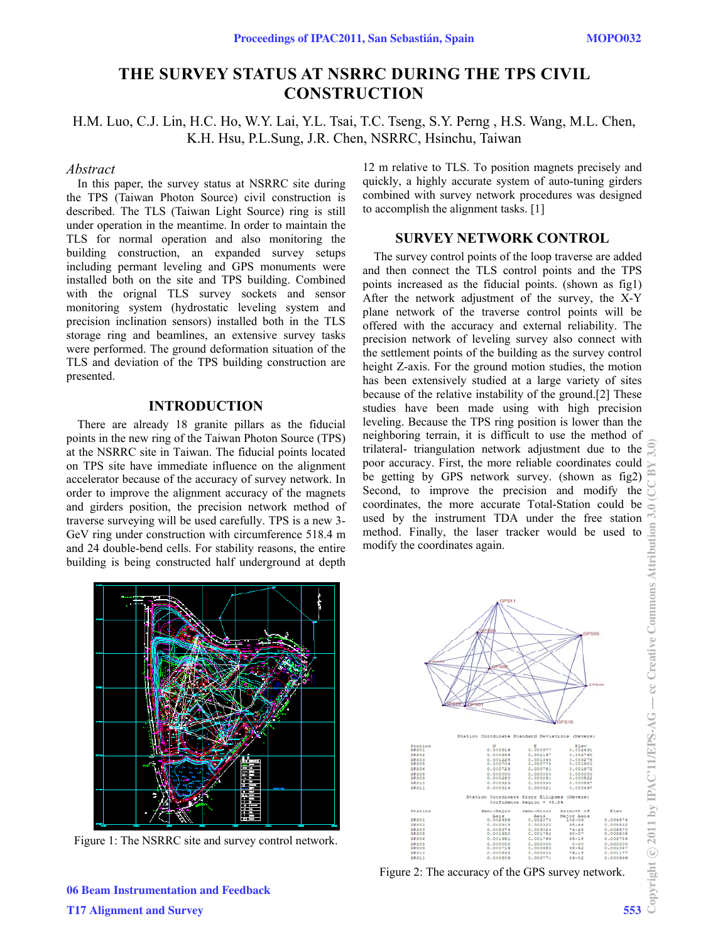# **THE SURVEY STATUS AT NSRRC DURING THE TPS CIVIL CONSTRUCTION**

H.M. Luo, C.J. Lin, H.C. Ho, W.Y. Lai, Y.L. Tsai, T.C. Tseng, S.Y. Perng , H.S. Wang, M.L. Chen, K.H. Hsu, P.L.Sung, J.R. Chen, NSRRC, Hsinchu, Taiwan

#### *Abstract*

In this paper, the survey status at NSRRC site during the TPS (Taiwan Photon Source) civil construction is described. The TLS (Taiwan Light Source) ring is still under operation in the meantime. In order to maintain the TLS for normal operation and also monitoring the building construction, an expanded survey setups including permant leveling and GPS monuments were installed both on the site and TPS building. Combined with the orignal TLS survey sockets and sensor monitoring system (hydrostatic leveling system and precision inclination sensors) installed both in the TLS storage ring and beamlines, an extensive survey tasks were performed. The ground deformation situation of the TLS and deviation of the TPS building construction are presented.

### **INTRODUCTION**

There are already 18 granite pillars as the fiducial points in the new ring of the Taiwan Photon Source (TPS) at the NSRRC site in Taiwan. The fiducial points located on TPS site have immediate influence on the alignment accelerator because of the accuracy of survey network. In order to improve the alignment accuracy of the magnets and girders position, the precision network method of traverse surveying will be used carefully. TPS is a new 3- GeV ring under construction with circumference 518.4 m and 24 double-bend cells. For stability reasons, the entire building is being constructed half underground at depth

12 m relative to TLS. To position magnets precisely and quickly, a highly accurate system of auto-tuning girders combined with survey network procedures was designed to accomplish the alignment tasks. [1]

## **SURVEY NETWORK CONTROL**

The survey control points of the loop traverse are added and then connect the TLS control points and the TPS points increased as the fiducial points. (shown as fig1) After the network adjustment of the survey, the X-Y plane network of the traverse control points will be offered with the accuracy and external reliability. The precision network of leveling survey also connect with the settlement points of the building as the survey control height Z-axis. For the ground motion studies, the motion has been extensively studied at a large variety of sites because of the relative instability of the ground.[2] These studies have been made using with high precision leveling. Because the TPS ring position is lower than the neighboring terrain, it is difficult to use the method of trilateral- triangulation network adjustment due to the poor accuracy. First, the more reliable coordinates could be getting by GPS network survey. (shown as fig2) Second, to improve the precision and modify the coordinates, the more accurate Total-Station could be used by the instrument TDA under the free station method. Finally, the laser tracker would be used to modify the coordinates again.



Figure 1: The NSRRC site and survey control network.



Figure 2: The accuracy of the GPS survey network.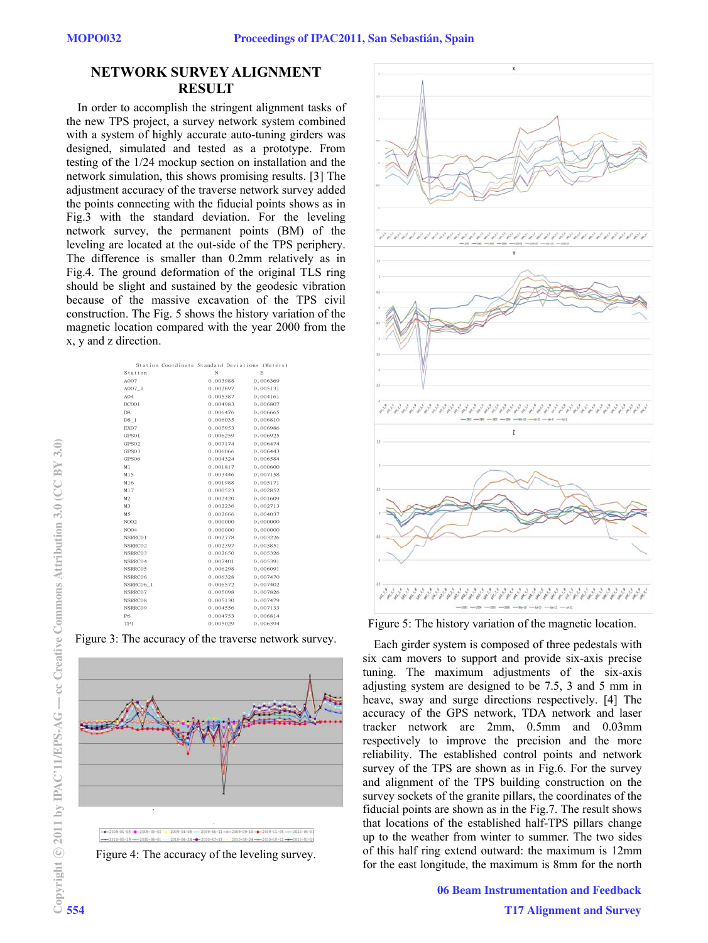## **NETWORK SURVEY ALIGNMENT RESULT**

In order to accomplish the stringent alignment tasks of the new TPS project, a survey network system combined with a system of highly accurate auto-tuning girders was designed, simulated and tested as a prototype. From testing of the 1/24 mockup section on installation and the network simulation, this shows promising results. [3] The adjustment accuracy of the traverse network survey added the points connecting with the fiducial points shows as in Fig.3 with the standard deviation. For the leveling network survey, the permanent points (BM) of the leveling are located at the out-side of the TPS periphery. The difference is smaller than 0.2mm relatively as in Fig.4. The ground deformation of the original TLS ring should be slight and sustained by the geodesic vibration because of the massive excavation of the TPS civil construction. The Fig. 5 shows the history variation of the magnetic location compared with the year 2000 from the x, y and z direction.

| Station Coordinate Standard Deviations (Meters) |          |          |
|-------------------------------------------------|----------|----------|
| Station                                         | N        | E.       |
| A007                                            | 0.003988 | 0.006369 |
| A007 1                                          | 0.002697 | 0.005131 |
| AO4                                             | 0.005387 | 0.004161 |
| <b>BC001</b>                                    | 0.004983 | 0.006807 |
| D8                                              | 0.006476 | 0.006665 |
| D8 1                                            | 0.006035 | 0.006810 |
| EX07                                            | 0.005953 | 0.006986 |
| GPS01                                           | 0.006259 | 0.006925 |
| GPS02                                           | 0.007174 | 0.006474 |
| GPS03                                           | 0.006066 | 0.006443 |
| GPS06                                           | 0.004324 | 0.006584 |
| M1                                              | 0.001817 | 0.000600 |
| M15                                             | 0.003446 | 0.007158 |
| M16                                             | 0.001988 | 0.005171 |
| M17                                             | 0.000523 | 0.002852 |
| M2                                              | 0.002420 | 0.001609 |
| M3                                              | 0.002236 | 0.002713 |
| M5                                              | 0.002666 | 0.004037 |
| NO <sub>02</sub>                                | 0.000000 | 0.000000 |
| NO04                                            | 0.000000 | 0.000000 |
| NSRRC01                                         | 0.002778 | 0.003226 |
| NSRRC02                                         | 0.002397 | 0.003851 |
| NSRRC03                                         | 0.002650 | 0.005326 |
| NSRRC04                                         | 0.007401 | 0.005391 |
| NSRRC05                                         | 0.006298 | 0.006091 |
| NSRRC06                                         | 0.006328 | 0.007470 |
| NSRRC06 1                                       | 0.006572 | 0.007402 |
| NSRRC07                                         | 0.005098 | 0.007826 |
| NSRRC08                                         | 0.005130 | 0.007479 |
| NSRRC09                                         | 0.004556 | 0.007133 |
| P6                                              | 0.004753 | 0.006814 |
| TP <sub>1</sub>                                 | 0.005029 | 0.006394 |
|                                                 |          |          |

Figure 3: The accuracy of the traverse network survey.







Figure 5: The history variation of the magnetic location.

Each girder system is composed of three pedestals with six cam movers to support and provide six-axis precise tuning. The maximum adjustments of the six-axis adjusting system are designed to be 7.5, 3 and 5 mm in heave, sway and surge directions respectively. [4] The accuracy of the GPS network, TDA network and laser tracker network are 2mm, 0.5mm and 0.03mm respectively to improve the precision and the more reliability. The established control points and network survey of the TPS are shown as in Fig.6. For the survey and alignment of the TPS building construction on the survey sockets of the granite pillars, the coordinates of the fiducial points are shown as in the Fig.7. The result shows that locations of the established half-TPS pillars change up to the weather from winter to summer. The two sides of this half ring extend outward: the maximum is 12mm for the east longitude, the maximum is 8mm for the north

> 06 Beam Instrumentation and Feedback T17 Alignment and Survey